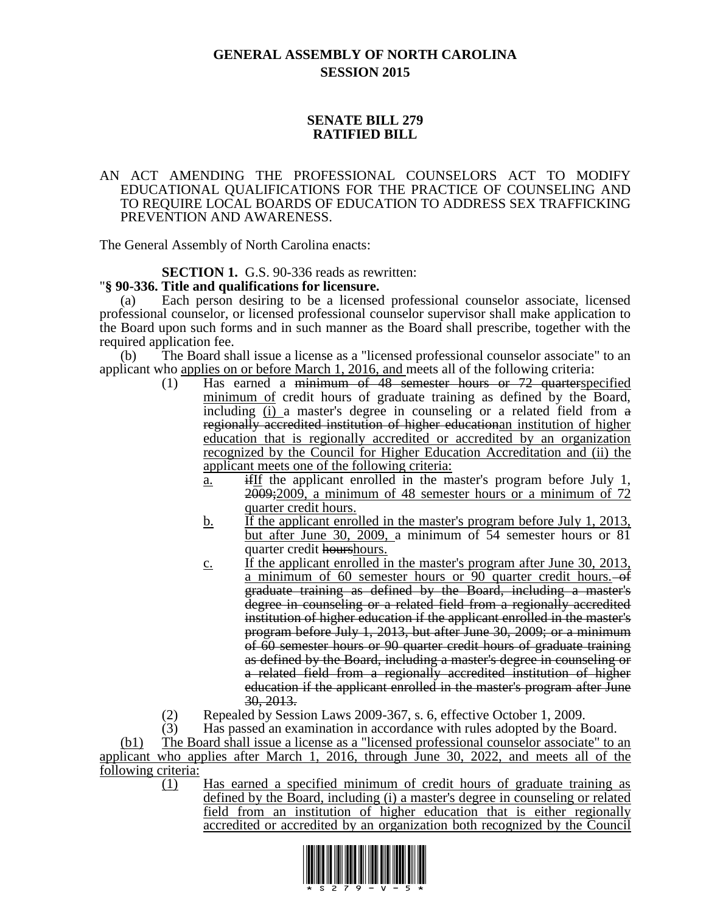# **GENERAL ASSEMBLY OF NORTH CAROLINA SESSION 2015**

## **SENATE BILL 279 RATIFIED BILL**

#### AN ACT AMENDING THE PROFESSIONAL COUNSELORS ACT TO MODIFY EDUCATIONAL QUALIFICATIONS FOR THE PRACTICE OF COUNSELING AND TO REQUIRE LOCAL BOARDS OF EDUCATION TO ADDRESS SEX TRAFFICKING PREVENTION AND AWARENESS.

The General Assembly of North Carolina enacts:

## **SECTION 1.** G.S. 90-336 reads as rewritten:

### "**§ 90-336. Title and qualifications for licensure.**

(a) Each person desiring to be a licensed professional counselor associate, licensed professional counselor, or licensed professional counselor supervisor shall make application to the Board upon such forms and in such manner as the Board shall prescribe, together with the required application fee.

(b) The Board shall issue a license as a "licensed professional counselor associate" to an applicant who applies on or before March 1, 2016, and meets all of the following criteria:

- (1) Has earned a minimum of 48 semester hours or 72 quarterspecified minimum of credit hours of graduate training as defined by the Board, including (i) a master's degree in counseling or a related field from a regionally accredited institution of higher educationan institution of higher education that is regionally accredited or accredited by an organization recognized by the Council for Higher Education Accreditation and (ii) the applicant meets one of the following criteria:
	- $\underline{\mathbf{a}}$ . if if the applicant enrolled in the master's program before July 1, 2009;2009, a minimum of 48 semester hours or a minimum of 72 quarter credit hours.
	- b. If the applicant enrolled in the master's program before July 1, 2013, but after June 30, 2009, a minimum of 54 semester hours or 81 quarter credit hourshours.
	- c. If the applicant enrolled in the master's program after June 30, 2013, a minimum of 60 semester hours or 90 quarter credit hours.  $-$ of graduate training as defined by the Board, including a master's degree in counseling or a related field from a regionally accredited institution of higher education if the applicant enrolled in the master's program before July 1, 2013, but after June 30, 2009; or a minimum of 60 semester hours or 90 quarter credit hours of graduate training as defined by the Board, including a master's degree in counseling or a related field from a regionally accredited institution of higher education if the applicant enrolled in the master's program after June 30, 2013.
- (2) Repealed by Session Laws 2009-367, s. 6, effective October 1, 2009.
- (3) Has passed an examination in accordance with rules adopted by the Board.

(b1) The Board shall issue a license as a "licensed professional counselor associate" to an applicant who applies after March 1, 2016, through June 30, 2022, and meets all of the following criteria:

(1) Has earned a specified minimum of credit hours of graduate training as defined by the Board, including (i) a master's degree in counseling or related field from an institution of higher education that is either regionally accredited or accredited by an organization both recognized by the Council

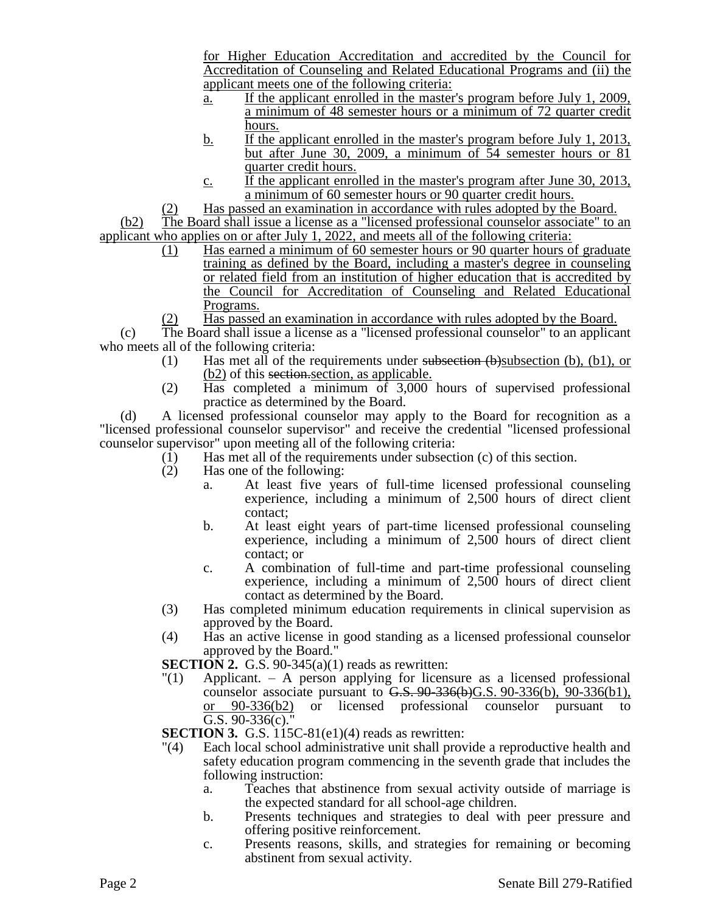for Higher Education Accreditation and accredited by the Council for Accreditation of Counseling and Related Educational Programs and (ii) the applicant meets one of the following criteria:

- a. If the applicant enrolled in the master's program before July 1, 2009, a minimum of 48 semester hours or a minimum of 72 quarter credit hours.
- b. If the applicant enrolled in the master's program before July 1, 2013, but after June 30, 2009, a minimum of 54 semester hours or 81 quarter credit hours.
- $\frac{\dot{c}}{\dot{c}}$  if the applicant enrolled in the master's program after June 30, 2013, a minimum of 60 semester hours or 90 quarter credit hours.
- (2) Has passed an examination in accordance with rules adopted by the Board.

(b2) The Board shall issue a license as a "licensed professional counselor associate" to an applicant who applies on or after July 1, 2022, and meets all of the following criteria:

- (1) Has earned a minimum of 60 semester hours or 90 quarter hours of graduate training as defined by the Board, including a master's degree in counseling or related field from an institution of higher education that is accredited by the Council for Accreditation of Counseling and Related Educational Programs.
- (2) Has passed an examination in accordance with rules adopted by the Board.

(c) The Board shall issue a license as a "licensed professional counselor" to an applicant who meets all of the following criteria:

- (1) Has met all of the requirements under subsection  $(b)$ subsection (b), (b1), or (b2) of this section.section, as applicable.
- (2) Has completed a minimum of 3,000 hours of supervised professional practice as determined by the Board.

(d) A licensed professional counselor may apply to the Board for recognition as a "licensed professional counselor supervisor" and receive the credential "licensed professional counselor supervisor" upon meeting all of the following criteria:

- (1) Has met all of the requirements under subsection (c) of this section.
- (2) Has one of the following:
	- a. At least five years of full-time licensed professional counseling experience, including a minimum of 2,500 hours of direct client contact;
	- b. At least eight years of part-time licensed professional counseling experience, including a minimum of 2,500 hours of direct client contact; or
	- c. A combination of full-time and part-time professional counseling experience, including a minimum of 2,500 hours of direct client contact as determined by the Board.
- (3) Has completed minimum education requirements in clinical supervision as approved by the Board.
- (4) Has an active license in good standing as a licensed professional counselor approved by the Board."

**SECTION** 2. G.S. 90-345 $(a)(1)$  reads as rewritten:

 $\binom{m}{1}$  Applicant. – A person applying for licensure as a licensed professional counselor associate pursuant to  $G.S. 90-336(b)G.S. 90-336(b), 90-336(b1),$ or 90-336(b2) or licensed professional counselor pursuant to G.S.  $90-336(c)$ ."

**SECTION 3.** G.S. 115C-81(e1)(4) reads as rewritten:

- "(4) Each local school administrative unit shall provide a reproductive health and safety education program commencing in the seventh grade that includes the following instruction:
	- a. Teaches that abstinence from sexual activity outside of marriage is the expected standard for all school-age children.
	- b. Presents techniques and strategies to deal with peer pressure and offering positive reinforcement.
	- c. Presents reasons, skills, and strategies for remaining or becoming abstinent from sexual activity.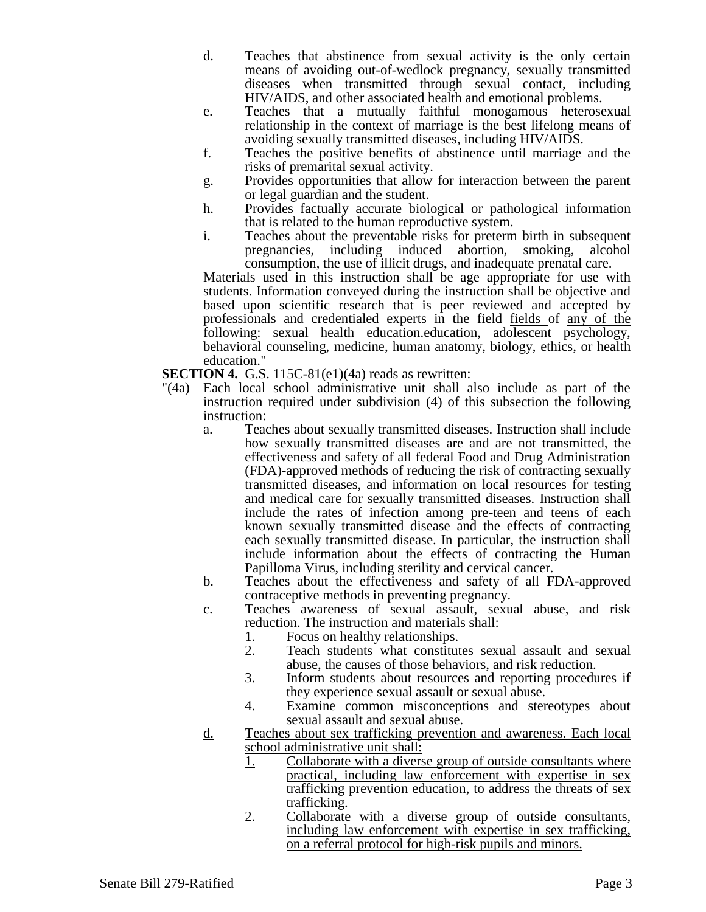- d. Teaches that abstinence from sexual activity is the only certain means of avoiding out-of-wedlock pregnancy, sexually transmitted diseases when transmitted through sexual contact, including HIV/AIDS, and other associated health and emotional problems.
- e. Teaches that a mutually faithful monogamous heterosexual relationship in the context of marriage is the best lifelong means of avoiding sexually transmitted diseases, including HIV/AIDS.
- f. Teaches the positive benefits of abstinence until marriage and the risks of premarital sexual activity.
- g. Provides opportunities that allow for interaction between the parent or legal guardian and the student.
- h. Provides factually accurate biological or pathological information that is related to the human reproductive system.
- i. Teaches about the preventable risks for preterm birth in subsequent pregnancies, including induced abortion, smoking, alcohol consumption, the use of illicit drugs, and inadequate prenatal care.

Materials used in this instruction shall be age appropriate for use with students. Information conveyed during the instruction shall be objective and based upon scientific research that is peer reviewed and accepted by professionals and credentialed experts in the field fields of any of the following: sexual health education.education, adolescent psychology, behavioral counseling, medicine, human anatomy, biology, ethics, or health education."

**SECTION 4.** G.S. 115C-81(e1)(4a) reads as rewritten:

- "(4a) Each local school administrative unit shall also include as part of the instruction required under subdivision (4) of this subsection the following instruction:
	- a. Teaches about sexually transmitted diseases. Instruction shall include how sexually transmitted diseases are and are not transmitted, the effectiveness and safety of all federal Food and Drug Administration (FDA)-approved methods of reducing the risk of contracting sexually transmitted diseases, and information on local resources for testing and medical care for sexually transmitted diseases. Instruction shall include the rates of infection among pre-teen and teens of each known sexually transmitted disease and the effects of contracting each sexually transmitted disease. In particular, the instruction shall include information about the effects of contracting the Human Papilloma Virus, including sterility and cervical cancer.
	- b. Teaches about the effectiveness and safety of all FDA-approved contraceptive methods in preventing pregnancy.
	- c. Teaches awareness of sexual assault, sexual abuse, and risk reduction. The instruction and materials shall:
		- 1. Focus on healthy relationships.<br>2. Teach students what constitute
		- 2. Teach students what constitutes sexual assault and sexual abuse, the causes of those behaviors, and risk reduction.
		- 3. Inform students about resources and reporting procedures if they experience sexual assault or sexual abuse.
		- 4. Examine common misconceptions and stereotypes about sexual assault and sexual abuse.
	- d. Teaches about sex trafficking prevention and awareness. Each local school administrative unit shall:
		- 1. Collaborate with a diverse group of outside consultants where practical, including law enforcement with expertise in sex trafficking prevention education, to address the threats of sex trafficking.
		- 2. Collaborate with a diverse group of outside consultants, including law enforcement with expertise in sex trafficking, on a referral protocol for high-risk pupils and minors.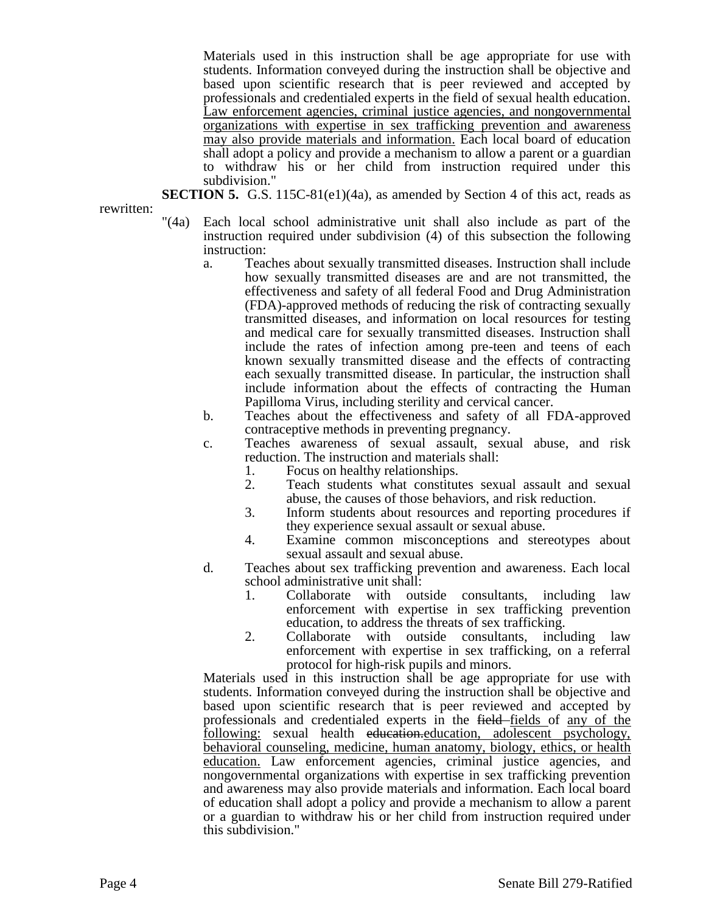Materials used in this instruction shall be age appropriate for use with students. Information conveyed during the instruction shall be objective and based upon scientific research that is peer reviewed and accepted by professionals and credentialed experts in the field of sexual health education. Law enforcement agencies, criminal justice agencies, and nongovernmental organizations with expertise in sex trafficking prevention and awareness may also provide materials and information. Each local board of education shall adopt a policy and provide a mechanism to allow a parent or a guardian to withdraw his or her child from instruction required under this subdivision."

**SECTION 5.** G.S.  $115C-81(e1)(4a)$ , as amended by Section 4 of this act, reads as

rewritten:

- "(4a) Each local school administrative unit shall also include as part of the instruction required under subdivision (4) of this subsection the following instruction:
	- a. Teaches about sexually transmitted diseases. Instruction shall include how sexually transmitted diseases are and are not transmitted, the effectiveness and safety of all federal Food and Drug Administration (FDA)-approved methods of reducing the risk of contracting sexually transmitted diseases, and information on local resources for testing and medical care for sexually transmitted diseases. Instruction shall include the rates of infection among pre-teen and teens of each known sexually transmitted disease and the effects of contracting each sexually transmitted disease. In particular, the instruction shall include information about the effects of contracting the Human Papilloma Virus, including sterility and cervical cancer.
	- b. Teaches about the effectiveness and safety of all FDA-approved contraceptive methods in preventing pregnancy.
	- c. Teaches awareness of sexual assault, sexual abuse, and risk reduction. The instruction and materials shall:
		- 1. Focus on healthy relationships.
		- 2. Teach students what constitutes sexual assault and sexual abuse, the causes of those behaviors, and risk reduction.
		- 3. Inform students about resources and reporting procedures if they experience sexual assault or sexual abuse.
		- 4. Examine common misconceptions and stereotypes about sexual assault and sexual abuse.
	- d. Teaches about sex trafficking prevention and awareness. Each local school administrative unit shall:
		- 1. Collaborate with outside consultants, including law enforcement with expertise in sex trafficking prevention education, to address the threats of sex trafficking.
		- 2. Collaborate with outside consultants, including law enforcement with expertise in sex trafficking, on a referral protocol for high-risk pupils and minors.

Materials used in this instruction shall be age appropriate for use with students. Information conveyed during the instruction shall be objective and based upon scientific research that is peer reviewed and accepted by professionals and credentialed experts in the field-fields of any of the following: sexual health education.education, adolescent psychology, behavioral counseling, medicine, human anatomy, biology, ethics, or health education. Law enforcement agencies, criminal justice agencies, and nongovernmental organizations with expertise in sex trafficking prevention and awareness may also provide materials and information. Each local board of education shall adopt a policy and provide a mechanism to allow a parent or a guardian to withdraw his or her child from instruction required under this subdivision."